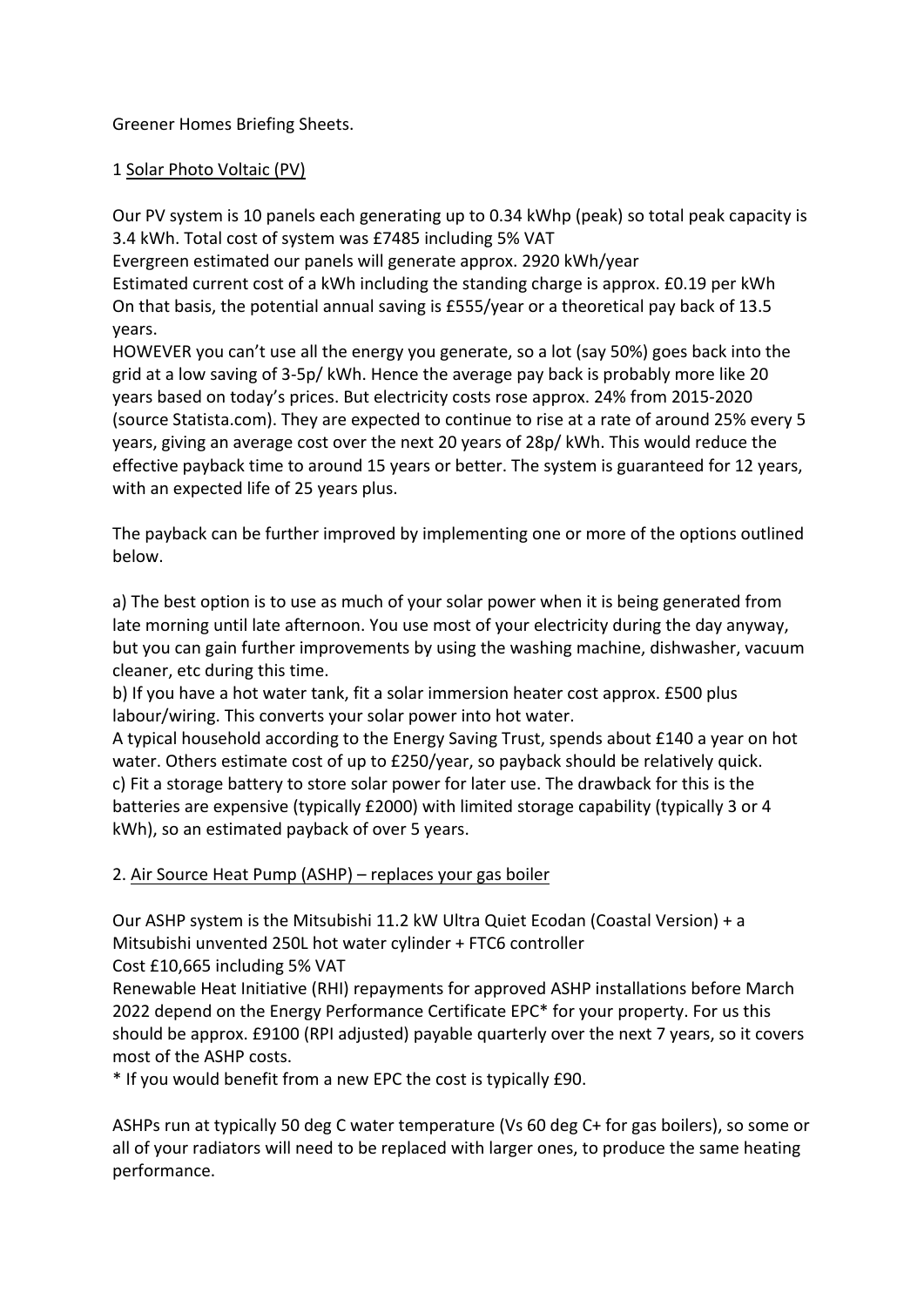Greener Homes Briefing Sheets.

# 1 Solar Photo Voltaic (PV)

Our PV system is 10 panels each generating up to 0.34 kWhp (peak) so total peak capacity is 3.4 kWh. Total cost of system was £7485 including 5% VAT

Evergreen estimated our panels will generate approx. 2920 kWh/year

Estimated current cost of a kWh including the standing charge is approx. £0.19 per kWh On that basis, the potential annual saving is £555/year or a theoretical pay back of 13.5 years.

HOWEVER you can't use all the energy you generate, so a lot (say 50%) goes back into the grid at a low saving of 3-5p/ kWh. Hence the average pay back is probably more like 20 years based on today's prices. But electricity costs rose approx. 24% from 2015-2020 (source Statista.com). They are expected to continue to rise at a rate of around 25% every 5 years, giving an average cost over the next 20 years of 28p/ kWh. This would reduce the effective payback time to around 15 years or better. The system is guaranteed for 12 years, with an expected life of 25 years plus.

The payback can be further improved by implementing one or more of the options outlined below.

a) The best option is to use as much of your solar power when it is being generated from late morning until late afternoon. You use most of your electricity during the day anyway, but you can gain further improvements by using the washing machine, dishwasher, vacuum cleaner, etc during this time.

b) If you have a hot water tank, fit a solar immersion heater cost approx. £500 plus labour/wiring. This converts your solar power into hot water.

A typical household according to the Energy Saving Trust, spends about £140 a year on hot water. Others estimate cost of up to £250/year, so payback should be relatively quick. c) Fit a storage battery to store solar power for later use. The drawback for this is the batteries are expensive (typically £2000) with limited storage capability (typically 3 or 4 kWh), so an estimated payback of over 5 years.

2. Air Source Heat Pump (ASHP) – replaces your gas boiler

Our ASHP system is the Mitsubishi 11.2 kW Ultra Quiet Ecodan (Coastal Version) + a Mitsubishi unvented 250L hot water cylinder + FTC6 controller

Cost £10,665 including 5% VAT

Renewable Heat Initiative (RHI) repayments for approved ASHP installations before March 2022 depend on the Energy Performance Certificate EPC\* for your property. For us this should be approx. £9100 (RPI adjusted) payable quarterly over the next 7 years, so it covers most of the ASHP costs.

\* If you would benefit from a new EPC the cost is typically £90.

ASHPs run at typically 50 deg C water temperature (Vs 60 deg C+ for gas boilers), so some or all of your radiators will need to be replaced with larger ones, to produce the same heating performance.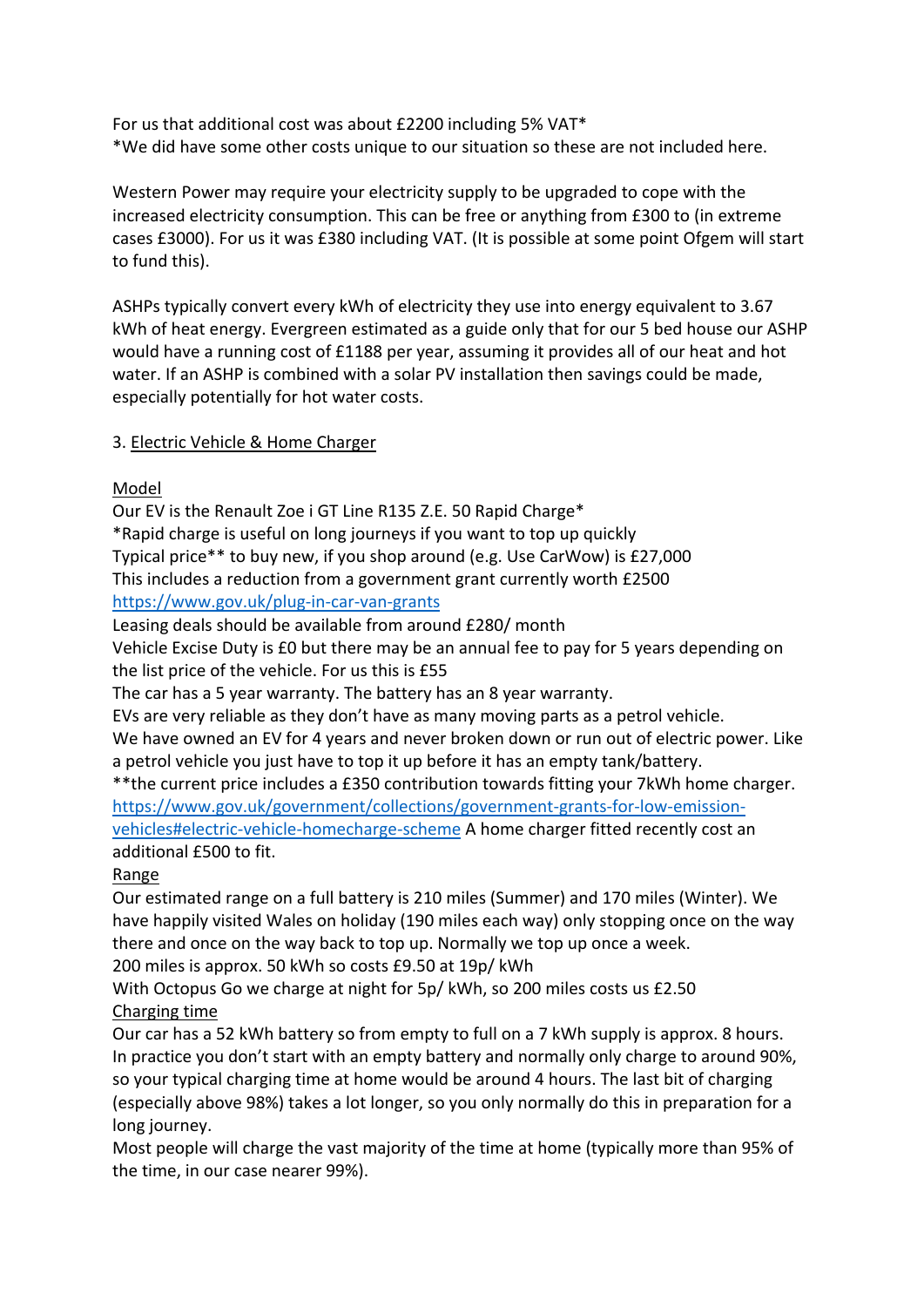For us that additional cost was about £2200 including 5% VAT\* \*We did have some other costs unique to our situation so these are not included here.

Western Power may require your electricity supply to be upgraded to cope with the increased electricity consumption. This can be free or anything from £300 to (in extreme cases £3000). For us it was £380 including VAT. (It is possible at some point Ofgem will start to fund this).

ASHPs typically convert every kWh of electricity they use into energy equivalent to 3.67 kWh of heat energy. Evergreen estimated as a guide only that for our 5 bed house our ASHP would have a running cost of £1188 per year, assuming it provides all of our heat and hot water. If an ASHP is combined with a solar PV installation then savings could be made, especially potentially for hot water costs.

### 3. Electric Vehicle & Home Charger

# Model

Our EV is the Renault Zoe i GT Line R135 Z.E. 50 Rapid Charge\* \*Rapid charge is useful on long journeys if you want to top up quickly Typical price\*\* to buy new, if you shop around (e.g. Use CarWow) is £27,000 This includes a reduction from a government grant currently worth £2500 https://www.gov.uk/plug-in-car-van-grants

Leasing deals should be available from around £280/ month

Vehicle Excise Duty is £0 but there may be an annual fee to pay for 5 years depending on the list price of the vehicle. For us this is £55

The car has a 5 year warranty. The battery has an 8 year warranty.

EVs are very reliable as they don't have as many moving parts as a petrol vehicle. We have owned an EV for 4 years and never broken down or run out of electric power. Like a petrol vehicle you just have to top it up before it has an empty tank/battery.

\*\*the current price includes a £350 contribution towards fitting your 7kWh home charger. https://www.gov.uk/government/collections/government-grants-for-low-emissionvehicles#electric-vehicle-homecharge-scheme A home charger fitted recently cost an additional £500 to fit.

# Range

Our estimated range on a full battery is 210 miles (Summer) and 170 miles (Winter). We have happily visited Wales on holiday (190 miles each way) only stopping once on the way there and once on the way back to top up. Normally we top up once a week.

200 miles is approx. 50 kWh so costs £9.50 at 19p/ kWh

With Octopus Go we charge at night for 5p/ kWh, so 200 miles costs us £2.50 Charging time

Our car has a 52 kWh battery so from empty to full on a 7 kWh supply is approx. 8 hours. In practice you don't start with an empty battery and normally only charge to around 90%, so your typical charging time at home would be around 4 hours. The last bit of charging (especially above 98%) takes a lot longer, so you only normally do this in preparation for a long journey.

Most people will charge the vast majority of the time at home (typically more than 95% of the time, in our case nearer 99%).